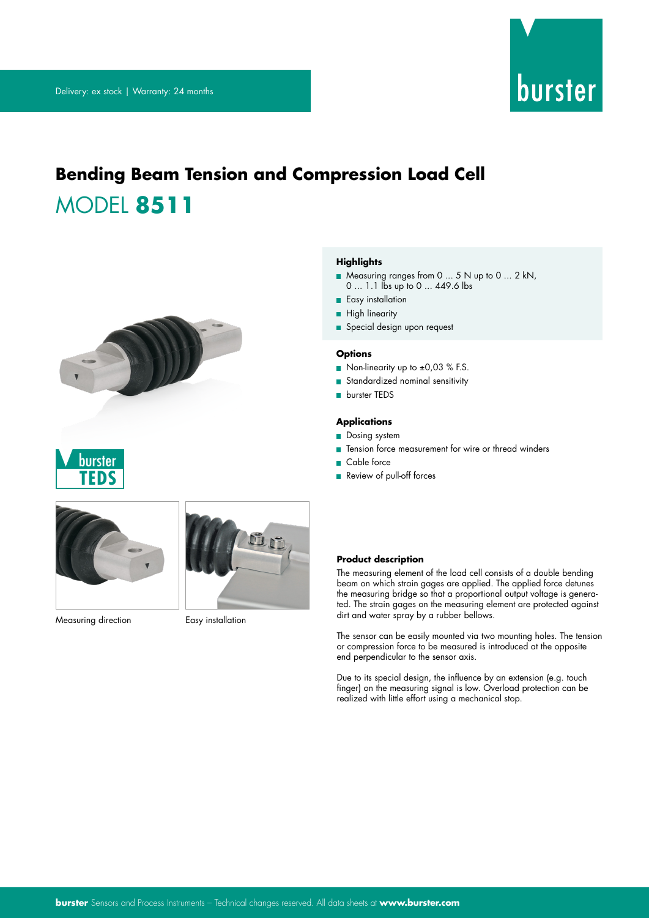

# **Bending Beam Tension and Compression Load Cell** MODEL **8511**







Measuring direction **Easy** installation

#### **Highlights**

- Measuring ranges from 0 ... 5 N up to 0 ... 2 kN,
- 0 ... 1.1 lbs up to 0 ... 449.6 lbs
- **Easy installation**
- **High linearity**
- Special design upon request

### **Options**

- Non-linearity up to ±0,03 % F.S.
- Standardized nominal sensitivity
- **burster TEDS**

### **Applications**

- Dosing system
- Tension force measurement for wire or thread winders
- Cable force
- Review of pull-off forces

#### **Product description**

The measuring element of the load cell consists of a double bending beam on which strain gages are applied. The applied force detunes the measuring bridge so that a proportional output voltage is generated. The strain gages on the measuring element are protected against dirt and water spray by a rubber bellows.

The sensor can be easily mounted via two mounting holes. The tension or compression force to be measured is introduced at the opposite end perpendicular to the sensor axis.

Due to its special design, the influence by an extension (e.g. touch finger) on the measuring signal is low. Overload protection can be realized with little effort using a mechanical stop.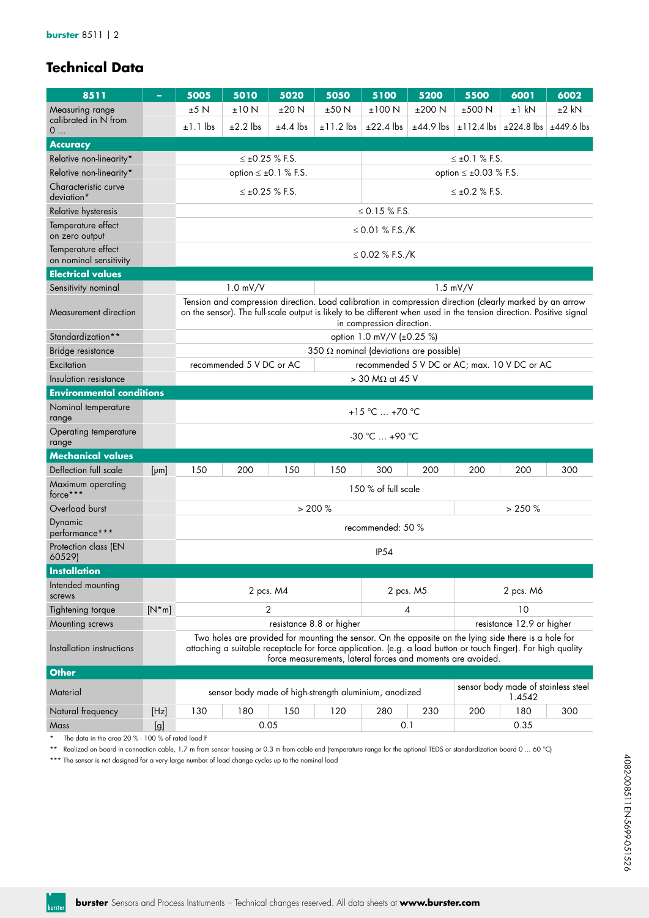### **burster** 8511 | 2

# **Technical Data**

| 8511                                         | ÷       | 5005                                                                                                                                                                                                                                                                                  | 5010                                                                                                                                                                                                                                                         | 5020                     | 5050                                                  | 5100                      | 5200                      | 5500                                         | 6001                                          | 6002         |  |  |  |  |
|----------------------------------------------|---------|---------------------------------------------------------------------------------------------------------------------------------------------------------------------------------------------------------------------------------------------------------------------------------------|--------------------------------------------------------------------------------------------------------------------------------------------------------------------------------------------------------------------------------------------------------------|--------------------------|-------------------------------------------------------|---------------------------|---------------------------|----------------------------------------------|-----------------------------------------------|--------------|--|--|--|--|
| Measuring range                              |         | ±5 N                                                                                                                                                                                                                                                                                  | ±10 N                                                                                                                                                                                                                                                        | ±20 N                    | ±50 N                                                 | ±100 N                    | ±200 N                    | ±500 N                                       | $±1$ kN                                       | $±2$ kN      |  |  |  |  |
| calibrated in N from<br>0                    |         | $±1.1$ lbs                                                                                                                                                                                                                                                                            | $\pm 2.2$ lbs                                                                                                                                                                                                                                                | $±4.4$ lbs               | $\pm 11.2$ lbs                                        | $±22.4$ lbs               | $±44.9$ lbs               | $±112.4$ lbs                                 | $\pm 224.8$ lbs                               | $±449.6$ lbs |  |  |  |  |
| <b>Accuracy</b>                              |         |                                                                                                                                                                                                                                                                                       |                                                                                                                                                                                                                                                              |                          |                                                       |                           |                           |                                              |                                               |              |  |  |  |  |
| Relative non-linearity*                      |         |                                                                                                                                                                                                                                                                                       | $\leq \pm 0.25$ % F.S.                                                                                                                                                                                                                                       |                          |                                                       |                           |                           | $\leq \pm 0.1$ % F.S.                        |                                               |              |  |  |  |  |
| Relative non-linearity*                      |         |                                                                                                                                                                                                                                                                                       | option $\leq \pm 0.1$ % F.S.                                                                                                                                                                                                                                 |                          |                                                       |                           |                           | option $\leq \pm 0.03$ % F.S.                |                                               |              |  |  |  |  |
| Characteristic curve<br>deviation*           |         |                                                                                                                                                                                                                                                                                       | $\leq \pm 0.25$ % F.S.                                                                                                                                                                                                                                       |                          |                                                       |                           |                           | $\leq \pm 0.2$ % F.S.                        |                                               |              |  |  |  |  |
| Relative hysteresis                          |         |                                                                                                                                                                                                                                                                                       |                                                                                                                                                                                                                                                              |                          |                                                       | $\leq$ 0.15 % F.S.        |                           |                                              |                                               |              |  |  |  |  |
| Temperature effect<br>on zero output         |         |                                                                                                                                                                                                                                                                                       | ≤ 0.01 % F.S./K                                                                                                                                                                                                                                              |                          |                                                       |                           |                           |                                              |                                               |              |  |  |  |  |
| Temperature effect<br>on nominal sensitivity |         |                                                                                                                                                                                                                                                                                       | ≤ 0.02 % F.S./K                                                                                                                                                                                                                                              |                          |                                                       |                           |                           |                                              |                                               |              |  |  |  |  |
| <b>Electrical values</b>                     |         |                                                                                                                                                                                                                                                                                       |                                                                                                                                                                                                                                                              |                          |                                                       |                           |                           |                                              |                                               |              |  |  |  |  |
| Sensitivity nominal                          |         |                                                                                                                                                                                                                                                                                       | $1.0$ mV/V                                                                                                                                                                                                                                                   |                          |                                                       |                           |                           | 1.5 mV/V                                     |                                               |              |  |  |  |  |
| Measurement direction                        |         |                                                                                                                                                                                                                                                                                       | Tension and compression direction. Load calibration in compression direction (clearly marked by an arrow<br>on the sensor). The full-scale output is likely to be different when used in the tension direction. Positive signal<br>in compression direction. |                          |                                                       |                           |                           |                                              |                                               |              |  |  |  |  |
| Standardization**                            |         |                                                                                                                                                                                                                                                                                       |                                                                                                                                                                                                                                                              |                          |                                                       | option 1.0 mV/V (±0.25 %) |                           |                                              |                                               |              |  |  |  |  |
| Bridge resistance                            |         |                                                                                                                                                                                                                                                                                       |                                                                                                                                                                                                                                                              |                          | 350 $\Omega$ nominal (deviations are possible)        |                           |                           |                                              |                                               |              |  |  |  |  |
| Excitation                                   |         |                                                                                                                                                                                                                                                                                       | recommended 5 V DC or AC                                                                                                                                                                                                                                     |                          |                                                       |                           |                           | recommended 5 V DC or AC; max. 10 V DC or AC |                                               |              |  |  |  |  |
| Insulation resistance                        |         |                                                                                                                                                                                                                                                                                       |                                                                                                                                                                                                                                                              |                          |                                                       | $>$ 30 M $\Omega$ at 45 V |                           |                                              |                                               |              |  |  |  |  |
| <b>Environmental conditions</b>              |         |                                                                                                                                                                                                                                                                                       |                                                                                                                                                                                                                                                              |                          |                                                       |                           |                           |                                              |                                               |              |  |  |  |  |
| Nominal temperature<br>range                 |         |                                                                                                                                                                                                                                                                                       | +15 °C  +70 °C                                                                                                                                                                                                                                               |                          |                                                       |                           |                           |                                              |                                               |              |  |  |  |  |
| Operating temperature<br>range               |         |                                                                                                                                                                                                                                                                                       |                                                                                                                                                                                                                                                              |                          |                                                       | $-30 °C  +90 °C$          |                           |                                              |                                               |              |  |  |  |  |
| <b>Mechanical values</b>                     |         |                                                                                                                                                                                                                                                                                       |                                                                                                                                                                                                                                                              |                          |                                                       |                           |                           |                                              |                                               |              |  |  |  |  |
| Deflection full scale                        | [µm]    | 150                                                                                                                                                                                                                                                                                   | 200                                                                                                                                                                                                                                                          | 150                      | 150                                                   | 300                       | 200                       | 200                                          | 200                                           | 300          |  |  |  |  |
| Maximum operating<br>force***                |         |                                                                                                                                                                                                                                                                                       |                                                                                                                                                                                                                                                              |                          |                                                       | 150 % of full scale       |                           |                                              |                                               |              |  |  |  |  |
| Overload burst                               |         |                                                                                                                                                                                                                                                                                       |                                                                                                                                                                                                                                                              |                          | > 200%                                                |                           |                           |                                              | > 250%                                        |              |  |  |  |  |
| Dynamic<br>performance***                    |         |                                                                                                                                                                                                                                                                                       |                                                                                                                                                                                                                                                              |                          |                                                       | recommended: 50 %         |                           |                                              |                                               |              |  |  |  |  |
| Protection class (EN<br>60529)               |         |                                                                                                                                                                                                                                                                                       | IP <sub>54</sub>                                                                                                                                                                                                                                             |                          |                                                       |                           |                           |                                              |                                               |              |  |  |  |  |
| <b>Installation</b>                          |         |                                                                                                                                                                                                                                                                                       |                                                                                                                                                                                                                                                              |                          |                                                       |                           |                           |                                              |                                               |              |  |  |  |  |
| Intended mounting<br>screws                  |         |                                                                                                                                                                                                                                                                                       | 2 pcs. M4                                                                                                                                                                                                                                                    |                          | 2 pcs. M5                                             | 2 pcs. M6                 |                           |                                              |                                               |              |  |  |  |  |
| Tightening torque                            | $[N*m]$ |                                                                                                                                                                                                                                                                                       |                                                                                                                                                                                                                                                              | 2                        | 4                                                     | 10                        |                           |                                              |                                               |              |  |  |  |  |
| Mounting screws                              |         |                                                                                                                                                                                                                                                                                       |                                                                                                                                                                                                                                                              | resistance 8.8 or higher |                                                       |                           | resistance 12.9 or higher |                                              |                                               |              |  |  |  |  |
| Installation instructions                    |         | Two holes are provided for mounting the sensor. On the opposite on the lying side there is a hole for<br>attaching a suitable receptacle for force application. (e.g. a load button or touch finger). For high quality<br>force measurements, lateral forces and moments are avoided. |                                                                                                                                                                                                                                                              |                          |                                                       |                           |                           |                                              |                                               |              |  |  |  |  |
| <b>Other</b>                                 |         |                                                                                                                                                                                                                                                                                       |                                                                                                                                                                                                                                                              |                          |                                                       |                           |                           |                                              |                                               |              |  |  |  |  |
| Material                                     |         |                                                                                                                                                                                                                                                                                       |                                                                                                                                                                                                                                                              |                          | sensor body made of high-strength aluminium, anodized |                           |                           |                                              | sensor body made of stainless steel<br>1.4542 |              |  |  |  |  |
| Natural frequency                            | [Hz]    | 130                                                                                                                                                                                                                                                                                   | 180                                                                                                                                                                                                                                                          | 150                      | 120                                                   | 280                       | 230                       | 200                                          | 180                                           | 300          |  |  |  |  |

\* The data in the area 20 % - 100 % of rated load F

\*\* Realized on board in connection cable, 1.7 m from sensor housing or 0.3 m from cable end (temperature range for the optional TEDS or standardization board 0 ... 60 °C)

Mass [g] 0.05 0.1 0.35

\*\*\* The sensor is not designed for a very large number of load change cycles up to the nominal load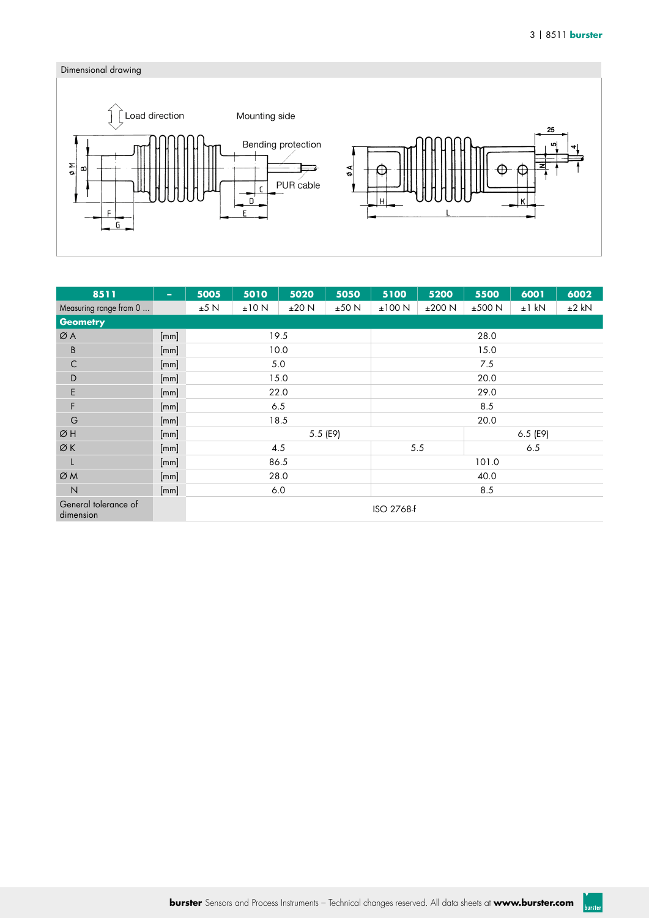burster



| 8511                              | $\overline{\phantom{a}}$ | 5005       | 5010  | 5020     | 5050  | 6002<br>5100<br>5200<br>5500<br>6001 |        |        |         |         |  |  |  |
|-----------------------------------|--------------------------|------------|-------|----------|-------|--------------------------------------|--------|--------|---------|---------|--|--|--|
| Measuring range from 0            |                          | ±5 N       | ±10 N | ±20 N    | ±50 N | ±100 N                               | ±200 N | ±500 N | $±1$ kN | $±2$ kN |  |  |  |
| <b>Geometry</b>                   |                          |            |       |          |       |                                      |        |        |         |         |  |  |  |
| ØA                                | [mm]                     |            |       | 19.5     |       | 28.0                                 |        |        |         |         |  |  |  |
| B                                 | [mm]                     |            |       | 10.0     |       | 15.0                                 |        |        |         |         |  |  |  |
| $\mathsf C$                       | [mm]                     |            |       | 5.0      |       | 7.5                                  |        |        |         |         |  |  |  |
| D                                 | [mm]                     |            |       | 15.0     |       | 20.0                                 |        |        |         |         |  |  |  |
| E                                 | [mm]                     |            |       | 22.0     |       | 29.0                                 |        |        |         |         |  |  |  |
| F                                 | [mm]                     |            |       | 6.5      |       | 8.5                                  |        |        |         |         |  |  |  |
| G                                 | [mm]                     |            |       | 18.5     |       | 20.0                                 |        |        |         |         |  |  |  |
| ØH                                | [mm]                     |            |       | 5.5 (E9) |       | $6.5$ (E9)                           |        |        |         |         |  |  |  |
| ØK                                | [mm]                     |            |       | 4.5      |       | 5.5<br>6.5                           |        |        |         |         |  |  |  |
| L                                 | [mm]                     |            |       | 86.5     |       | 101.0                                |        |        |         |         |  |  |  |
| ØM                                | [mm]                     |            |       | 28.0     |       | 40.0                                 |        |        |         |         |  |  |  |
| $\overline{N}$                    | [mm]                     |            |       | 6.0      |       | 8.5                                  |        |        |         |         |  |  |  |
| General tolerance of<br>dimension |                          | ISO 2768-F |       |          |       |                                      |        |        |         |         |  |  |  |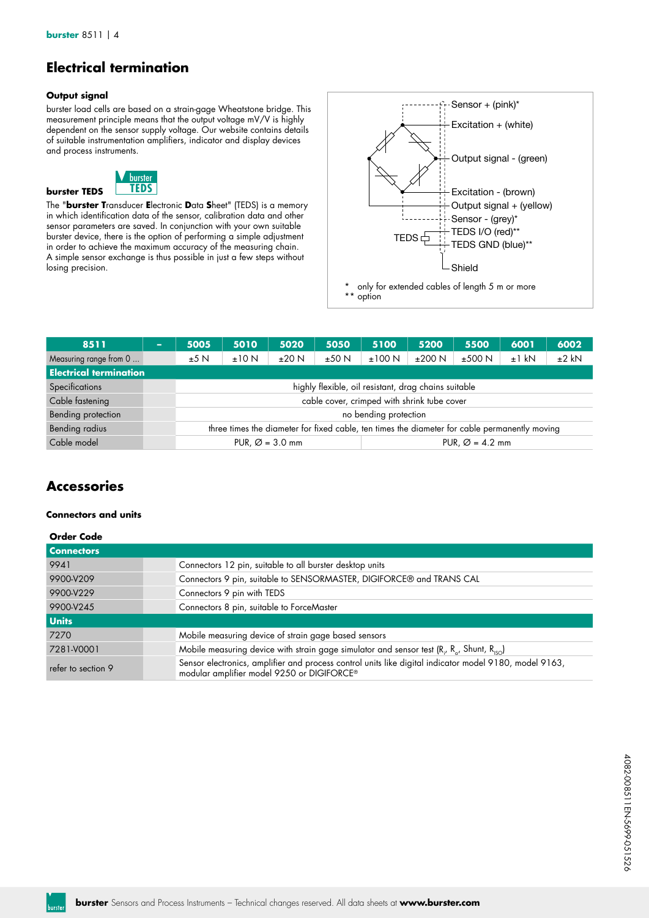## **Electrical termination**

### **Output signal**

burster load cells are based on a strain-gage Wheatstone bridge. This measurement principle means that the output voltage mV/V is highly dependent on the sensor supply voltage. Our website contains details of suitable instrumentation amplifiers, indicator and display devices and process instruments.



The "**burster T**ransducer **E**lectronic **D**ata **S**heet" (TEDS) is a memory in which identification data of the sensor, calibration data and other sensor parameters are saved. In conjunction with your own suitable burster device, there is the option of performing a simple adjustment in order to achieve the maximum accuracy of the measuring chain. A simple sensor exchange is thus possible in just a few steps without losing precision.



| 8511                          | $\sim$ | 5010<br>5005                                                                                  |       | 5020  | 5100<br>5050 |        | 5200<br>5500 |        | 6001    | 6002    |  |  |
|-------------------------------|--------|-----------------------------------------------------------------------------------------------|-------|-------|--------------|--------|--------------|--------|---------|---------|--|--|
| Measuring range from 0        |        | ±5N                                                                                           | ±10 N | ±20 N | ±50 N        | ±100 N | ±200 N       | ±500 N | $±1$ kN | $±2$ kN |  |  |
| <b>Electrical termination</b> |        |                                                                                               |       |       |              |        |              |        |         |         |  |  |
| Specifications                |        | highly flexible, oil resistant, drag chains suitable                                          |       |       |              |        |              |        |         |         |  |  |
| Cable fastening               |        | cable cover, crimped with shrink tube cover                                                   |       |       |              |        |              |        |         |         |  |  |
| Bending protection            |        | no bending protection                                                                         |       |       |              |        |              |        |         |         |  |  |
| Bending radius                |        | three times the diameter for fixed cable, ten times the diameter for cable permanently moving |       |       |              |        |              |        |         |         |  |  |
| Cable model                   |        | PUR, $\varnothing$ = 3.0 mm<br>PUR. $\varnothing$ = 4.2 mm                                    |       |       |              |        |              |        |         |         |  |  |

### **Accessories**

### **Connectors and units**

| <b>Order Code</b>  |                                                                                                                                                      |
|--------------------|------------------------------------------------------------------------------------------------------------------------------------------------------|
| <b>Connectors</b>  |                                                                                                                                                      |
| 9941               | Connectors 12 pin, suitable to all burster desktop units                                                                                             |
| 9900-V209          | Connectors 9 pin, suitable to SENSORMASTER, DIGIFORCE® and TRANS CAL                                                                                 |
| 9900-V229          | Connectors 9 pin with TEDS                                                                                                                           |
| 9900-V245          | Connectors 8 pin, suitable to ForceMaster                                                                                                            |
| <b>Units</b>       |                                                                                                                                                      |
| 7270               | Mobile measuring device of strain gage based sensors                                                                                                 |
| 7281-V0001         | Mobile measuring device with strain gage simulator and sensor test ( $R_{17}$ , $R_{17}$ , Shunt, $R_{15}$ )                                         |
| refer to section 9 | Sensor electronics, amplifier and process control units like digital indicator model 9180, model 9163,<br>modular amplifier model 9250 or DIGIFORCE® |

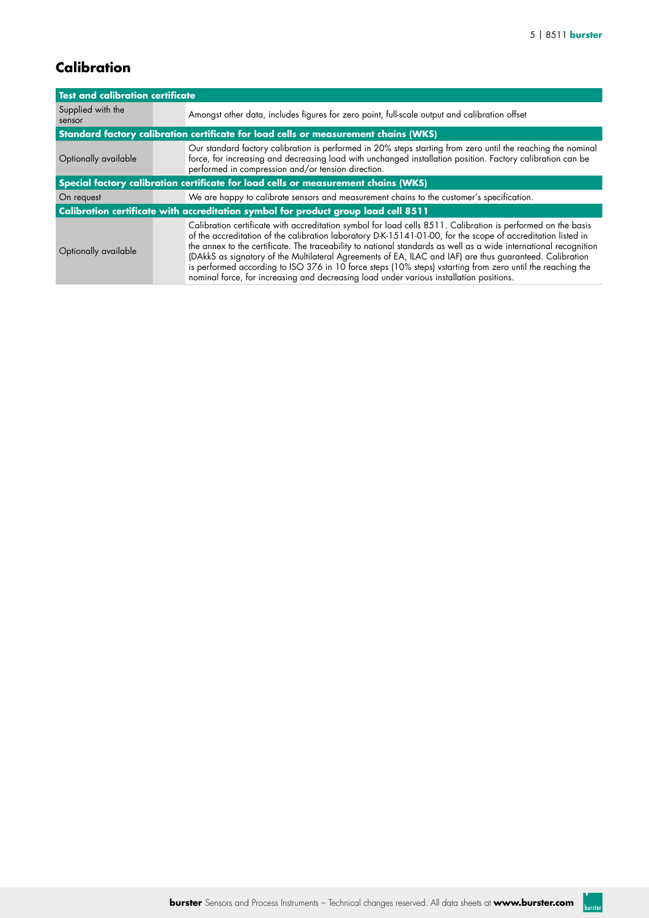# **Calibration**

| <b>Test and calibration certificate</b>                                            |                                                                                                                                                                                                                                                                                                                                                                                                                                                                                                                                                                                                                                                                       |  |  |  |  |  |  |
|------------------------------------------------------------------------------------|-----------------------------------------------------------------------------------------------------------------------------------------------------------------------------------------------------------------------------------------------------------------------------------------------------------------------------------------------------------------------------------------------------------------------------------------------------------------------------------------------------------------------------------------------------------------------------------------------------------------------------------------------------------------------|--|--|--|--|--|--|
| Supplied with the<br>sensor                                                        | Amongst other data, includes figures for zero point, full-scale output and calibration offset                                                                                                                                                                                                                                                                                                                                                                                                                                                                                                                                                                         |  |  |  |  |  |  |
|                                                                                    | Standard factory calibration certificate for load cells or measurement chains (WKS)                                                                                                                                                                                                                                                                                                                                                                                                                                                                                                                                                                                   |  |  |  |  |  |  |
| Optionally available                                                               | Our standard factory calibration is performed in 20% steps starting from zero until the reaching the nominal<br>force, for increasing and decreasing load with unchanged installation position. Factory calibration can be<br>performed in compression and/or tension direction.                                                                                                                                                                                                                                                                                                                                                                                      |  |  |  |  |  |  |
| Special factory calibration certificate for load cells or measurement chains (WKS) |                                                                                                                                                                                                                                                                                                                                                                                                                                                                                                                                                                                                                                                                       |  |  |  |  |  |  |
| On request                                                                         | We are happy to calibrate sensors and measurement chains to the customer's specification.                                                                                                                                                                                                                                                                                                                                                                                                                                                                                                                                                                             |  |  |  |  |  |  |
|                                                                                    | Calibration certificate with accreditation symbol for product group load cell 8511                                                                                                                                                                                                                                                                                                                                                                                                                                                                                                                                                                                    |  |  |  |  |  |  |
| Optionally available                                                               | Calibration certificate with accreditation symbol for load cells 8511. Calibration is performed on the basis<br>of the accreditation of the calibration laboratory D-K-15141-01-00, for the scope of accreditation listed in<br>the annex to the certificate. The traceability to national standards as well as a wide international recognition<br>(DAkkS as signatory of the Multilateral Agreements of EA, ILAC and IAF) are thus guaranteed. Calibration<br>is performed according to ISO 376 in 10 force steps (10% steps) vstarting from zero until the reaching the<br>nominal force, for increasing and decreasing load under various installation positions. |  |  |  |  |  |  |